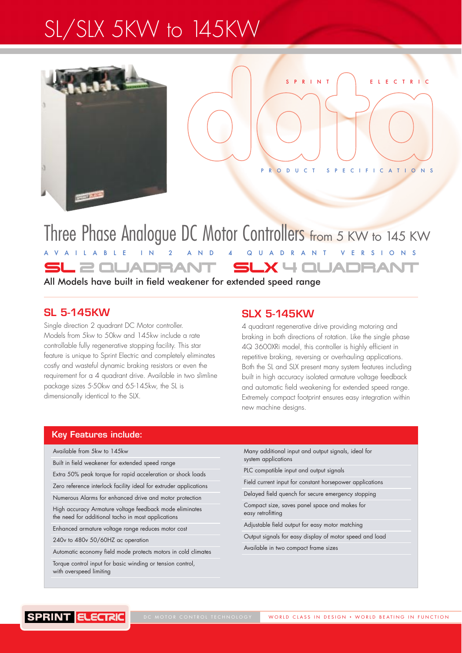# SL/SLX 5KW to 145KW



PRODUCT SPECIFICATIONS

PRINT REFERENCE

### Three Phase Analogue DC Motor Controllers from 5 KW to 145 KW AVAILABLE IN 2 AND 4 QUADRANT VERSIONS SL 2 QUADRANT SLX 4 QUADRAI

All Models have built in field weakener for extended speed range

#### **SL 5-145KW**

Single direction 2 quadrant DC Motor controller. Models from 5kw to 50kw and 145kw include a rate controllable fully regenerative stopping facility. This star feature is unique to Sprint Electric and completely eliminates costly and wasteful dynamic braking resistors or even the requirement for a 4 quadrant drive. Available in two slimline package sizes 5-50kw and 65-145kw, the SL is dimensionally identical to the SLX.

#### **SLX 5-145KW**

4 quadrant regenerative drive providing motoring and braking in both directions of rotation. Like the single phase 4Q 3600XRi model, this controller is highly efficient in repetitive braking, reversing or overhauling applications. Both the SL and SLX present many system features including built in high accuracy isolated armature voltage feedback and automatic field weakening for extended speed range. Extremely compact footprint ensures easy integration within new machine designs.

#### **Key Features include:**

Available from 5kw to 145kw

Built in field weakener for extended speed range

Extra 50% peak torque for rapid acceleration or shock loads

Zero reference interlock facility ideal for extruder applications Numerous Alarms for enhanced drive and motor protection

High accuracy Armature voltage feedback mode eliminates

the need for additional tacho in most applications Enhanced armature voltage range reduces motor cost

240v to 480v 50/60HZ ac operation

Automatic economy field mode protects motors in cold climates

Torque control input for basic winding or tension control, with overspeed limiting

Many additional input and output signals, ideal for system applications

PLC compatible input and output signals

Field current input for constant horsepower applications

Delayed field quench for secure emergency stopping

Compact size, saves panel space and makes for easy retrofitting

Adjustable field output for easy motor matching

Output signals for easy display of motor speed and load

Available in two compact frame sizes